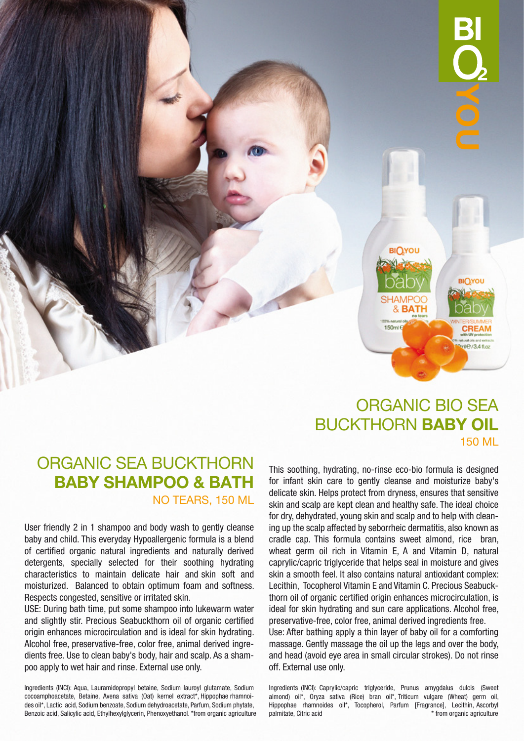

# ORGANIC SEA BUCKTHORN BABY SHAMPOO & BATH

NO TEARS, 150 ML

User friendly 2 in 1 shampoo and body wash to gently cleanse baby and child. This everyday Hypoallergenic formula is a blend of certified organic natural ingredients and naturally derived detergents, specially selected for their soothing hydrating characteristics to maintain delicate hair and skin soft and moisturized. Balanced to obtain optimum foam and softness. Respects congested, sensitive or irritated skin.

USE: During bath time, put some shampoo into lukewarm water and slightly stir. Precious Seabuckthorn oil of organic certified origin enhances microcirculation and is ideal for skin hydrating. Alcohol free, preservative-free, color free, animal derived ingredients free. Use to clean baby's body, hair and scalp. As a shampoo apply to wet hair and rinse. External use only.

Ingredients (INCI): Aqua, Lauramidopropyl betaine, Sodium lauroyl glutamate, Sodium cocoamphoacetate, Betaine, Avena sativa (Oat) kernel extract\*, Hippophae rhamnoides oil\*, Lactic acid, Sodium benzoate, Sodium dehydroacetate, Parfum, Sodium phytate, Benzoic acid, Salicylic acid, Ethylhexylglycerin, Phenoxyethanol. \*from organic agriculture

# ORGANIC BIO SEA BUCKTHORN BABY OIL 150 ML

This soothing, hydrating, no-rinse eco-bio formula is designed for infant skin care to gently cleanse and moisturize baby's delicate skin. Helps protect from dryness, ensures that sensitive skin and scalp are kept clean and healthy safe. The ideal choice for dry, dehydrated, young skin and scalp and to help with cleaning up the scalp affected by seborrheic dermatitis, also known as cradle cap. This formula contains sweet almond, rice bran, wheat germ oil rich in Vitamin E, A and Vitamin D, natural caprylic/capric triglyceride that helps seal in moisture and gives skin a smooth feel. It also contains natural antioxidant complex: Lecithin, Tocopherol Vitamin E and Vitamin C. Precious Seabuckthorn oil of organic certified origin enhances microcirculation, is ideal for skin hydrating and sun care applications. Alcohol free, preservative-free, color free, animal derived ingredients free. Use: After bathing apply a thin layer of baby oil for a comforting massage. Gently massage the oil up the legs and over the body, and head (avoid eye area in small circular strokes). Do not rinse off. External use only.

Ingredients (INCI): Caprylic/capric triglyceride, Prunus amygdalus dulcis (Sweet almond) oil\*, Oryza sativa (Rice) bran oil\*, Triticum vulgare (Wheat) germ oil, Hippophae rhamnoides oil\*, Tocopherol, Parfum [Fragrance], Lecithin, Ascorbyl palmitate, Citric acid  $*$  from organic agriculture